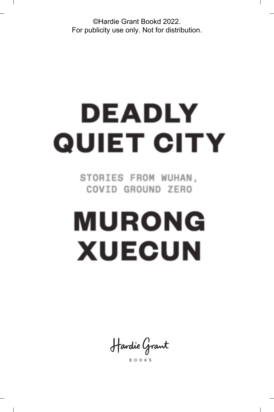©Hardie Grant Bookd 2022. For publicity use only. Not for distribution.

# DEADLY **QUIET CITY**

STORIES FROM WUHAN, COVID GROUND ZERO

# **MURONG XUECUN**

Hardie Grant

**BOOKS**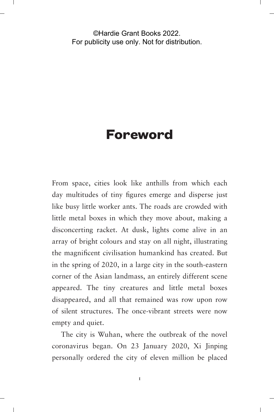#### ©Hardie Grant Books 2022. For publicity use only. Not for distribution.

### **Foreword**

From space, cities look like anthills from which each day multitudes of tiny figures emerge and disperse just like busy little worker ants. The roads are crowded with little metal boxes in which they move about, making a disconcerting racket. At dusk, lights come alive in an array of bright colours and stay on all night, illustrating the magnificent civilisation humankind has created. But in the spring of 2020, in a large city in the south-eastern corner of the Asian landmass, an entirely different scene appeared. The tiny creatures and little metal boxes disappeared, and all that remained was row upon row of silent structures. The once-vibrant streets were now empty and quiet.

The city is Wuhan, where the outbreak of the novel coronavirus began. On 23 January 2020, Xi Jinping personally ordered the city of eleven million be placed

 $\mathbf{I}$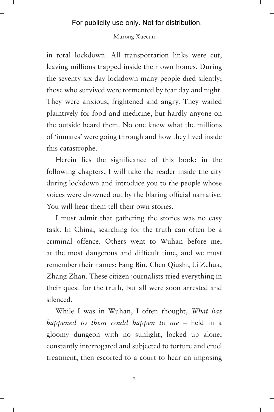#### Murong Xuecun

in total lockdown. All transportation links were cut, leaving millions trapped inside their own homes. During the seventy-six-day lockdown many people died silently; those who survived were tormented by fear day and night. They were anxious, frightened and angry. They wailed plaintively for food and medicine, but hardly anyone on the outside heard them. No one knew what the millions of 'inmates' were going through and how they lived inside this catastrophe.

Herein lies the significance of this book: in the following chapters, I will take the reader inside the city during lockdown and introduce you to the people whose voices were drowned out by the blaring official narrative. You will hear them tell their own stories.

I must admit that gathering the stories was no easy task. In China, searching for the truth can often be a criminal offence. Others went to Wuhan before me, at the most dangerous and difficult time, and we must remember their names: Fang Bin, Chen Qiushi, Li Zehua, Zhang Zhan. These citizen journalists tried everything in their quest for the truth, but all were soon arrested and silenced.

While I was in Wuhan, I often thought, *What has happened to them could happen to me* – held in a gloomy dungeon with no sunlight, locked up alone, constantly interrogated and subjected to torture and cruel treatment, then escorted to a court to hear an imposing

 $\overline{2}$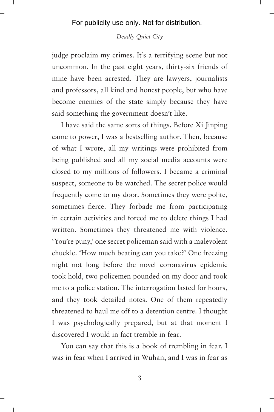#### *Deadly Quiet City*

judge proclaim my crimes. It's a terrifying scene but not uncommon. In the past eight years, thirty-six friends of mine have been arrested. They are lawyers, journalists and professors, all kind and honest people, but who have become enemies of the state simply because they have said something the government doesn't like.

I have said the same sorts of things. Before Xi Jinping came to power, I was a bestselling author. Then, because of what I wrote, all my writings were prohibited from being published and all my social media accounts were closed to my millions of followers. I became a criminal suspect, someone to be watched. The secret police would frequently come to my door. Sometimes they were polite, sometimes fierce. They forbade me from participating in certain activities and forced me to delete things I had written. Sometimes they threatened me with violence. 'You're puny,' one secret policeman said with a malevolent chuckle. 'How much beating can you take?' One freezing night not long before the novel coronavirus epidemic took hold, two policemen pounded on my door and took me to a police station. The interrogation lasted for hours, and they took detailed notes. One of them repeatedly threatened to haul me off to a detention centre. I thought I was psychologically prepared, but at that moment I discovered I would in fact tremble in fear.

You can say that this is a book of trembling in fear. I was in fear when I arrived in Wuhan, and I was in fear as

3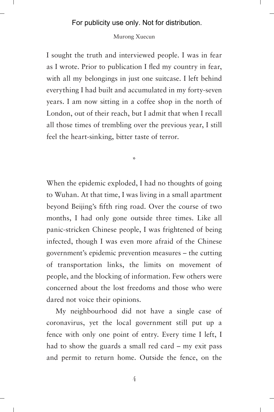#### Murong Xuecun

I sought the truth and interviewed people. I was in fear as I wrote. Prior to publication I fled my country in fear, with all my belongings in just one suitcase. I left behind everything I had built and accumulated in my forty-seven years. I am now sitting in a coffee shop in the north of London, out of their reach, but I admit that when I recall all those times of trembling over the previous year, I still feel the heart-sinking, bitter taste of terror.

\*

When the epidemic exploded, I had no thoughts of going to Wuhan. At that time, I was living in a small apartment beyond Beijing's fifth ring road. Over the course of two months, I had only gone outside three times. Like all panic-stricken Chinese people, I was frightened of being infected, though I was even more afraid of the Chinese government's epidemic prevention measures – the cutting of transportation links, the limits on movement of people, and the blocking of information. Few others were concerned about the lost freedoms and those who were dared not voice their opinions.

My neighbourhood did not have a single case of coronavirus, yet the local government still put up a fence with only one point of entry. Every time I left, I had to show the guards a small red card – my exit pass and permit to return home. Outside the fence, on the

4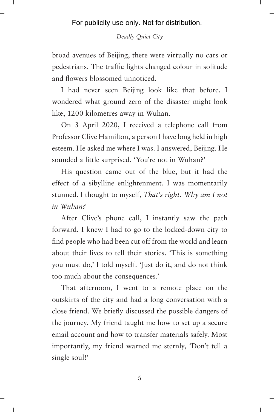#### *Deadly Quiet City*

broad avenues of Beijing, there were virtually no cars or pedestrians. The traffic lights changed colour in solitude and flowers blossomed unnoticed.

I had never seen Beijing look like that before. I wondered what ground zero of the disaster might look like, 1200 kilometres away in Wuhan.

On 3 April 2020, I received a telephone call from Professor Clive Hamilton, a person I have long held in high esteem. He asked me where I was. I answered, Beijing. He sounded a little surprised. 'You're not in Wuhan?'

His question came out of the blue, but it had the effect of a sibylline enlightenment. I was momentarily stunned. I thought to myself, *That's right. Why am I not in Wuhan?*

After Clive's phone call, I instantly saw the path forward. I knew I had to go to the locked-down city to find people who had been cut off from the world and learn about their lives to tell their stories. 'This is something you must do,' I told myself. 'Just do it, and do not think too much about the consequences.'

That afternoon, I went to a remote place on the outskirts of the city and had a long conversation with a close friend. We briefly discussed the possible dangers of the journey. My friend taught me how to set up a secure email account and how to transfer materials safely. Most importantly, my friend warned me sternly, 'Don't tell a single soul!'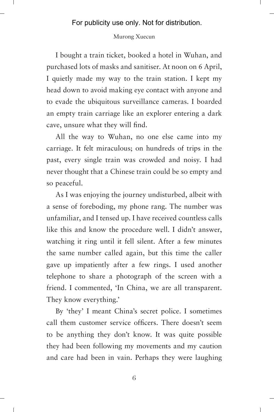#### Murong Xuecun

I bought a train ticket, booked a hotel in Wuhan, and purchased lots of masks and sanitiser. At noon on 6 April, I quietly made my way to the train station. I kept my head down to avoid making eye contact with anyone and to evade the ubiquitous surveillance cameras. I boarded an empty train carriage like an explorer entering a dark cave, unsure what they will find.

All the way to Wuhan, no one else came into my carriage. It felt miraculous; on hundreds of trips in the past, every single train was crowded and noisy. I had never thought that a Chinese train could be so empty and so peaceful.

As I was enjoying the journey undisturbed, albeit with a sense of foreboding, my phone rang. The number was unfamiliar, and I tensed up. I have received countless calls like this and know the procedure well. I didn't answer, watching it ring until it fell silent. After a few minutes the same number called again, but this time the caller gave up impatiently after a few rings. I used another telephone to share a photograph of the screen with a friend. I commented, 'In China, we are all transparent. They know everything.'

By 'they' I meant China's secret police. I sometimes call them customer service officers. There doesn't seem to be anything they don't know. It was quite possible they had been following my movements and my caution and care had been in vain. Perhaps they were laughing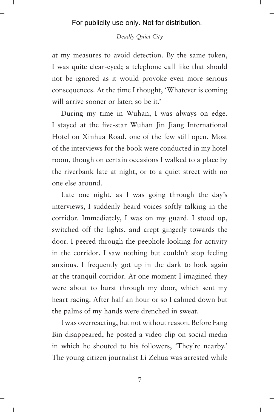#### *Deadly Quiet City*

at my measures to avoid detection. By the same token, I was quite clear-eyed; a telephone call like that should not be ignored as it would provoke even more serious consequences. At the time I thought, 'Whatever is coming will arrive sooner or later; so be it.'

During my time in Wuhan, I was always on edge. I stayed at the five-star Wuhan Jin Jiang International Hotel on Xinhua Road, one of the few still open. Most of the interviews for the book were conducted in my hotel room, though on certain occasions I walked to a place by the riverbank late at night, or to a quiet street with no one else around.

Late one night, as I was going through the day's interviews, I suddenly heard voices softly talking in the corridor. Immediately, I was on my guard. I stood up, switched off the lights, and crept gingerly towards the door. I peered through the peephole looking for activity in the corridor. I saw nothing but couldn't stop feeling anxious. I frequently got up in the dark to look again at the tranquil corridor. At one moment I imagined they were about to burst through my door, which sent my heart racing. After half an hour or so I calmed down but the palms of my hands were drenched in sweat.

I was overreacting, but not without reason. Before Fang Bin disappeared, he posted a video clip on social media in which he shouted to his followers, 'They're nearby.' The young citizen journalist Li Zehua was arrested while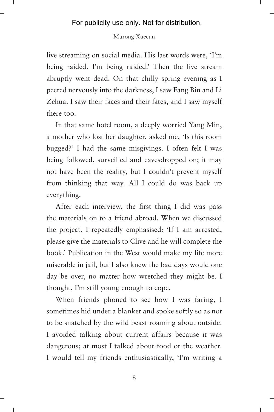#### Murong Xuecun

live streaming on social media. His last words were, 'I'm being raided. I'm being raided.' Then the live stream abruptly went dead. On that chilly spring evening as I peered nervously into the darkness, I saw Fang Bin and Li Zehua. I saw their faces and their fates, and I saw myself there too.

In that same hotel room, a deeply worried Yang Min, a mother who lost her daughter, asked me, 'Is this room bugged?' I had the same misgivings. I often felt I was being followed, surveilled and eavesdropped on; it may not have been the reality, but I couldn't prevent myself from thinking that way. All I could do was back up everything.

After each interview, the first thing I did was pass the materials on to a friend abroad. When we discussed the project, I repeatedly emphasised: 'If I am arrested, please give the materials to Clive and he will complete the book.' Publication in the West would make my life more miserable in jail, but I also knew the bad days would one day be over, no matter how wretched they might be. I thought, I'm still young enough to cope.

When friends phoned to see how I was faring, I sometimes hid under a blanket and spoke softly so as not to be snatched by the wild beast roaming about outside. I avoided talking about current affairs because it was dangerous; at most I talked about food or the weather. I would tell my friends enthusiastically, 'I'm writing a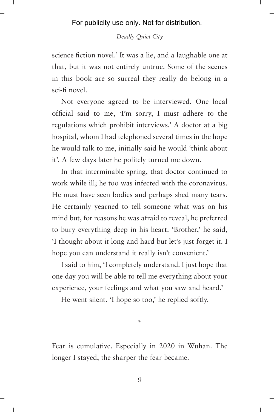#### *Deadly Quiet City*

science fiction novel.' It was a lie, and a laughable one at that, but it was not entirely untrue. Some of the scenes in this book are so surreal they really do belong in a sci-fi novel.

Not everyone agreed to be interviewed. One local official said to me, 'I'm sorry, I must adhere to the regulations which prohibit interviews.' A doctor at a big hospital, whom I had telephoned several times in the hope he would talk to me, initially said he would 'think about it'. A few days later he politely turned me down.

In that interminable spring, that doctor continued to work while ill; he too was infected with the coronavirus. He must have seen bodies and perhaps shed many tears. He certainly yearned to tell someone what was on his mind but, for reasons he was afraid to reveal, he preferred to bury everything deep in his heart. 'Brother,' he said, 'I thought about it long and hard but let's just forget it. I hope you can understand it really isn't convenient.'

I said to him, 'I completely understand. I just hope that one day you will be able to tell me everything about your experience, your feelings and what you saw and heard.'

He went silent. 'I hope so too,' he replied softly.

Fear is cumulative. Especially in 2020 in Wuhan. The longer I stayed, the sharper the fear became.

\*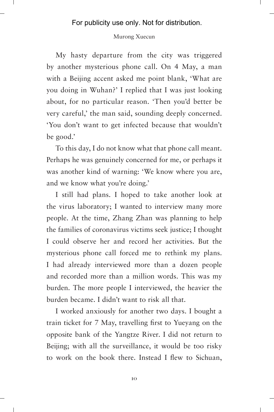#### Murong Xuecun

My hasty departure from the city was triggered by another mysterious phone call. On 4 May, a man with a Beijing accent asked me point blank, 'What are you doing in Wuhan?' I replied that I was just looking about, for no particular reason. 'Then you'd better be very careful,' the man said, sounding deeply concerned. 'You don't want to get infected because that wouldn't be good.'

To this day, I do not know what that phone call meant. Perhaps he was genuinely concerned for me, or perhaps it was another kind of warning: 'We know where you are, and we know what you're doing.'

I still had plans. I hoped to take another look at the virus laboratory; I wanted to interview many more people. At the time, Zhang Zhan was planning to help the families of coronavirus victims seek justice; I thought I could observe her and record her activities. But the mysterious phone call forced me to rethink my plans. I had already interviewed more than a dozen people and recorded more than a million words. This was my burden. The more people I interviewed, the heavier the burden became. I didn't want to risk all that.

I worked anxiously for another two days. I bought a train ticket for 7 May, travelling first to Yueyang on the opposite bank of the Yangtze River. I did not return to Beijing; with all the surveillance, it would be too risky to work on the book there. Instead I flew to Sichuan,

10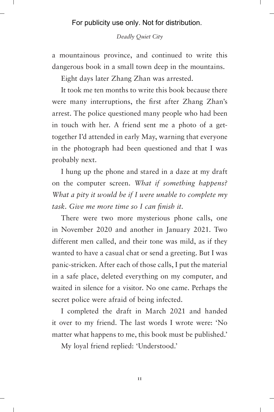#### *Deadly Quiet City*

a mountainous province, and continued to write this dangerous book in a small town deep in the mountains.

Eight days later Zhang Zhan was arrested.

It took me ten months to write this book because there were many interruptions, the first after Zhang Zhan's arrest. The police questioned many people who had been in touch with her. A friend sent me a photo of a gettogether I'd attended in early May, warning that everyone in the photograph had been questioned and that I was probably next.

I hung up the phone and stared in a daze at my draft on the computer screen. *What if something happens? What a pity it would be if I were unable to complete my task. Give me more time so I can finish it.*

There were two more mysterious phone calls, one in November 2020 and another in January 2021. Two different men called, and their tone was mild, as if they wanted to have a casual chat or send a greeting. But I was panic-stricken. After each of those calls, I put the material in a safe place, deleted everything on my computer, and waited in silence for a visitor. No one came. Perhaps the secret police were afraid of being infected.

I completed the draft in March 2021 and handed it over to my friend. The last words I wrote were: 'No matter what happens to me, this book must be published.'

My loyal friend replied: 'Understood.'